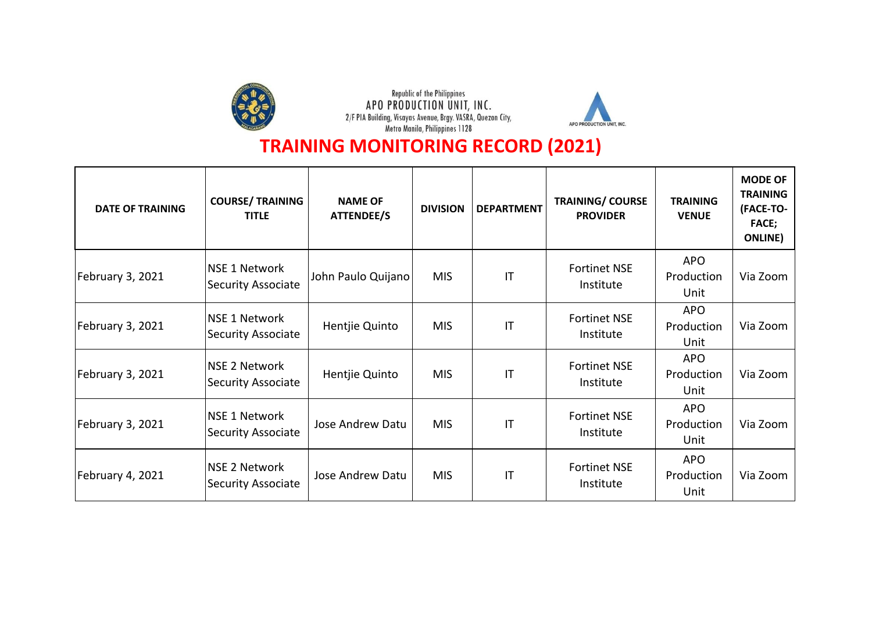



| <b>DATE OF TRAINING</b> | <b>COURSE/ TRAINING</b><br><b>TITLE</b>           | <b>NAME OF</b><br><b>ATTENDEE/S</b> | <b>DIVISION</b> | <b>DEPARTMENT</b>      | <b>TRAINING/ COURSE</b><br><b>PROVIDER</b> | <b>TRAINING</b><br><b>VENUE</b>  | <b>MODE OF</b><br><b>TRAINING</b><br>(FACE-TO-<br><b>FACE;</b><br><b>ONLINE</b> ) |
|-------------------------|---------------------------------------------------|-------------------------------------|-----------------|------------------------|--------------------------------------------|----------------------------------|-----------------------------------------------------------------------------------|
| February 3, 2021        | <b>NSE 1 Network</b><br><b>Security Associate</b> | John Paulo Quijano                  | <b>MIS</b>      | $\mathsf{I}\mathsf{T}$ | <b>Fortinet NSE</b><br>Institute           | <b>APO</b><br>Production<br>Unit | Via Zoom                                                                          |
| February 3, 2021        | <b>NSE 1 Network</b><br><b>Security Associate</b> | Hentjie Quinto                      | <b>MIS</b>      | $\mathsf{I}\mathsf{T}$ | <b>Fortinet NSE</b><br>Institute           | <b>APO</b><br>Production<br>Unit | Via Zoom                                                                          |
| February 3, 2021        | <b>NSE 2 Network</b><br><b>Security Associate</b> | Hentjie Quinto                      | <b>MIS</b>      | IT                     | <b>Fortinet NSE</b><br>Institute           | <b>APO</b><br>Production<br>Unit | Via Zoom                                                                          |
| February 3, 2021        | <b>NSE 1 Network</b><br><b>Security Associate</b> | Jose Andrew Datu                    | <b>MIS</b>      | IT                     | <b>Fortinet NSE</b><br>Institute           | <b>APO</b><br>Production<br>Unit | Via Zoom                                                                          |
| February 4, 2021        | <b>NSE 2 Network</b><br>Security Associate        | Jose Andrew Datu                    | <b>MIS</b>      | IT                     | <b>Fortinet NSE</b><br>Institute           | <b>APO</b><br>Production<br>Unit | Via Zoom                                                                          |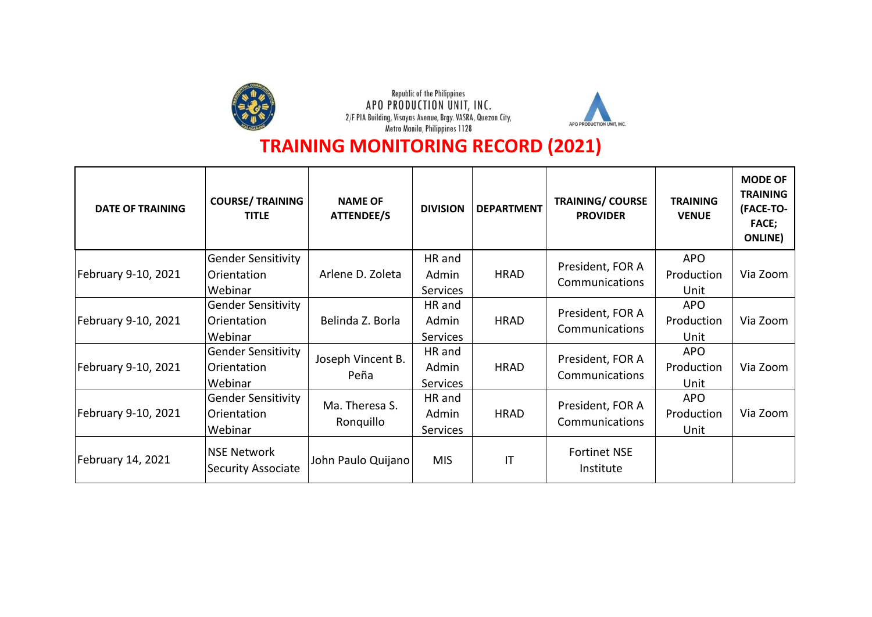



| <b>DATE OF TRAINING</b> | <b>COURSE/ TRAINING</b><br><b>TITLE</b>         | <b>NAME OF</b><br>ATTENDEE/S | <b>DIVISION</b> | <b>DEPARTMENT</b>      | <b>TRAINING/ COURSE</b><br><b>PROVIDER</b>                             | <b>TRAINING</b><br><b>VENUE</b> | <b>MODE OF</b><br><b>TRAINING</b><br>(FACE-TO-<br><b>FACE;</b><br><b>ONLINE</b> ) |
|-------------------------|-------------------------------------------------|------------------------------|-----------------|------------------------|------------------------------------------------------------------------|---------------------------------|-----------------------------------------------------------------------------------|
|                         | <b>Gender Sensitivity</b>                       |                              | HR and          |                        | President, FOR A                                                       | <b>APO</b>                      |                                                                                   |
| February 9-10, 2021     | Orientation                                     | Arlene D. Zoleta             | Admin           | <b>HRAD</b>            | Communications                                                         | Production                      | Via Zoom                                                                          |
|                         | Webinar                                         |                              | <b>Services</b> |                        |                                                                        | Unit                            |                                                                                   |
|                         | <b>Gender Sensitivity</b>                       | Belinda Z. Borla             | HR and          |                        | President, FOR A<br>Communications                                     | <b>APO</b>                      |                                                                                   |
| February 9-10, 2021     | Orientation                                     |                              | Admin           | <b>HRAD</b>            |                                                                        | Production                      | Via Zoom                                                                          |
|                         | Webinar                                         |                              | <b>Services</b> |                        |                                                                        | Unit                            |                                                                                   |
|                         | <b>Gender Sensitivity</b>                       | Joseph Vincent B.<br>Peña    | HR and          |                        | President, FOR A<br>Communications                                     | <b>APO</b>                      |                                                                                   |
| February 9-10, 2021     | Orientation                                     |                              | Admin           | <b>HRAD</b>            |                                                                        | Production                      | Via Zoom                                                                          |
|                         | Webinar                                         |                              | Services        |                        |                                                                        | Unit                            |                                                                                   |
|                         | <b>Gender Sensitivity</b>                       |                              | HR and          |                        | <b>APO</b><br>President, FOR A<br>Production<br>Communications<br>Unit |                                 |                                                                                   |
| February 9-10, 2021     | Orientation                                     | Ma. Theresa S.<br>Ronquillo  | Admin           | <b>HRAD</b>            |                                                                        | Via Zoom                        |                                                                                   |
|                         | Webinar                                         |                              | <b>Services</b> |                        |                                                                        |                                 |                                                                                   |
| February 14, 2021       | <b>NSE Network</b><br><b>Security Associate</b> | John Paulo Quijano           | <b>MIS</b>      | $\mathsf{I}\mathsf{T}$ | <b>Fortinet NSE</b><br>Institute                                       |                                 |                                                                                   |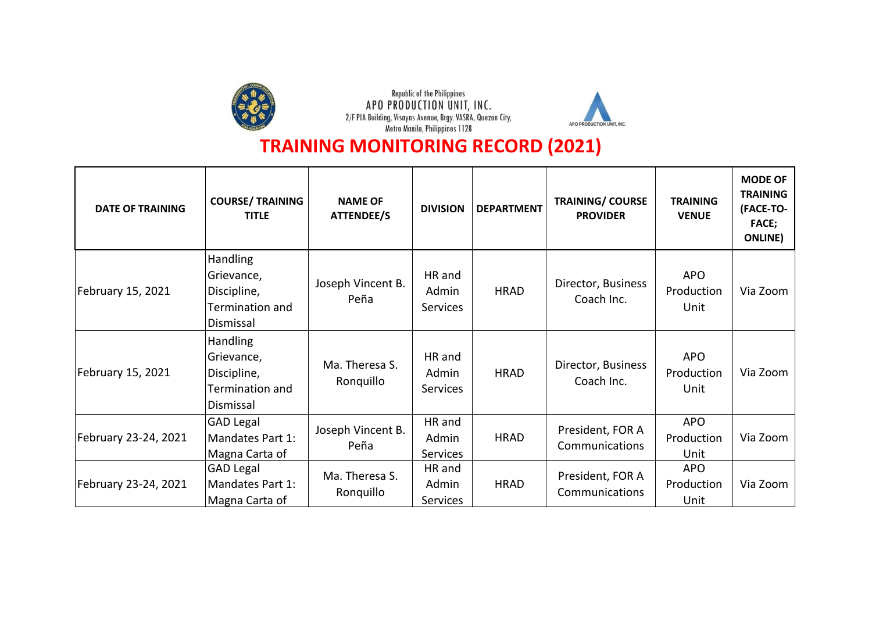



| <b>DATE OF TRAINING</b> | <b>COURSE/ TRAINING</b><br><b>TITLE</b>                                      | <b>NAME OF</b><br><b>ATTENDEE/S</b> | <b>DIVISION</b>                    | <b>DEPARTMENT</b> | <b>TRAINING/ COURSE</b><br><b>PROVIDER</b> | <b>TRAINING</b><br><b>VENUE</b>  | <b>MODE OF</b><br><b>TRAINING</b><br>(FACE-TO-<br><b>FACE;</b><br><b>ONLINE</b> ) |
|-------------------------|------------------------------------------------------------------------------|-------------------------------------|------------------------------------|-------------------|--------------------------------------------|----------------------------------|-----------------------------------------------------------------------------------|
| February 15, 2021       | <b>Handling</b><br>Grievance,<br>Discipline,<br>Termination and<br>Dismissal | Joseph Vincent B.<br>Peña           | HR and<br>Admin<br><b>Services</b> | <b>HRAD</b>       | Director, Business<br>Coach Inc.           | <b>APO</b><br>Production<br>Unit | Via Zoom                                                                          |
| February 15, 2021       | <b>Handling</b><br>Grievance,<br>Discipline,<br>Termination and<br>Dismissal | Ma. Theresa S.<br>Ronquillo         | HR and<br>Admin<br><b>Services</b> | <b>HRAD</b>       | Director, Business<br>Coach Inc.           | <b>APO</b><br>Production<br>Unit | Via Zoom                                                                          |
| February 23-24, 2021    | <b>GAD Legal</b><br>Mandates Part 1:<br>Magna Carta of                       | Joseph Vincent B.<br>Peña           | HR and<br>Admin<br><b>Services</b> | <b>HRAD</b>       | President, FOR A<br>Communications         | <b>APO</b><br>Production<br>Unit | Via Zoom                                                                          |
| February 23-24, 2021    | <b>GAD Legal</b><br>Mandates Part 1:<br>Magna Carta of                       | Ma. Theresa S.<br>Ronquillo         | HR and<br>Admin<br><b>Services</b> | <b>HRAD</b>       | President, FOR A<br>Communications         | <b>APO</b><br>Production<br>Unit | Via Zoom                                                                          |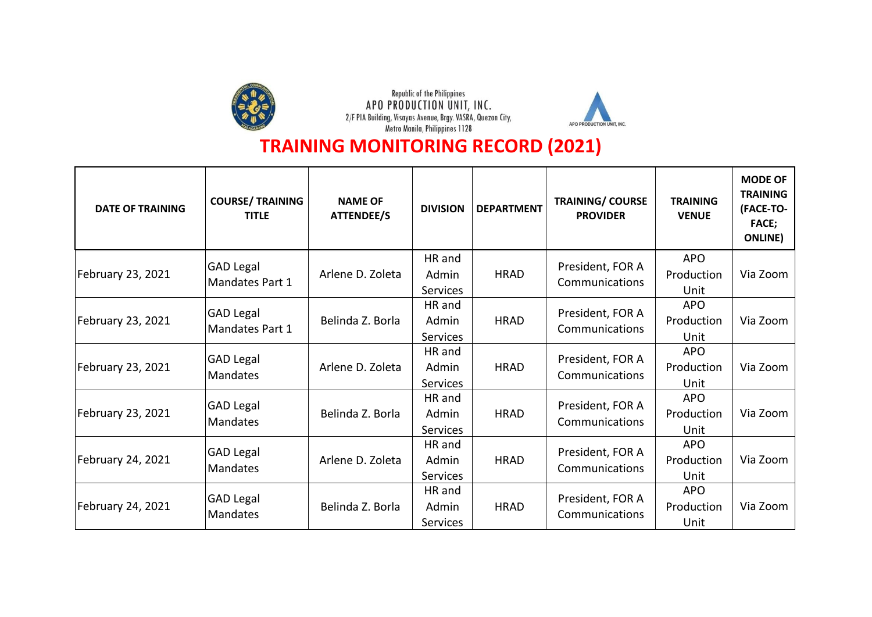



| <b>DATE OF TRAINING</b> | <b>COURSE/ TRAINING</b><br><b>TITLE</b> | <b>NAME OF</b><br><b>ATTENDEE/S</b> | <b>DIVISION</b> | <b>DEPARTMENT</b>    | <b>TRAINING/ COURSE</b><br><b>PROVIDER</b> | <b>TRAINING</b><br><b>VENUE</b> | <b>MODE OF</b><br><b>TRAINING</b><br>(FACE-TO-<br><b>FACE;</b><br><b>ONLINE</b> ) |
|-------------------------|-----------------------------------------|-------------------------------------|-----------------|----------------------|--------------------------------------------|---------------------------------|-----------------------------------------------------------------------------------|
|                         | <b>GAD Legal</b>                        |                                     | HR and          | President, FOR A     | <b>APO</b>                                 |                                 |                                                                                   |
| February 23, 2021       | Mandates Part 1                         | Arlene D. Zoleta                    | Admin           | <b>HRAD</b>          | Communications                             | Production                      | Via Zoom                                                                          |
|                         |                                         |                                     | <b>Services</b> |                      |                                            | Unit                            |                                                                                   |
|                         | <b>GAD Legal</b>                        |                                     | HR and          |                      | President, FOR A<br>Communications         | <b>APO</b>                      |                                                                                   |
| February 23, 2021       | Mandates Part 1                         | Belinda Z. Borla                    | Admin           | <b>HRAD</b>          |                                            | Production                      | Via Zoom                                                                          |
|                         |                                         |                                     | Services        |                      |                                            | Unit                            |                                                                                   |
|                         | <b>GAD Legal</b><br><b>Mandates</b>     | Arlene D. Zoleta                    | HR and          |                      | President, FOR A<br>Communications         | <b>APO</b>                      |                                                                                   |
| February 23, 2021       |                                         |                                     | Admin           | <b>HRAD</b>          |                                            | Production                      | Via Zoom                                                                          |
|                         |                                         |                                     | <b>Services</b> |                      |                                            | Unit                            |                                                                                   |
|                         | <b>GAD Legal</b><br><b>Mandates</b>     | Belinda Z. Borla                    | HR and          |                      | President, FOR A<br>Communications         | <b>APO</b>                      |                                                                                   |
| February 23, 2021       |                                         |                                     | Admin           | <b>HRAD</b>          |                                            | Production                      | Via Zoom                                                                          |
|                         |                                         |                                     | <b>Services</b> |                      |                                            | Unit                            |                                                                                   |
|                         | <b>GAD Legal</b>                        |                                     | HR and          |                      | President, FOR A<br>Communications         | <b>APO</b>                      |                                                                                   |
| February 24, 2021       | <b>Mandates</b>                         | Arlene D. Zoleta                    | Admin           | <b>HRAD</b>          |                                            | Production                      | Via Zoom                                                                          |
|                         |                                         |                                     | Services        |                      |                                            | Unit                            |                                                                                   |
| February 24, 2021       | <b>GAD Legal</b>                        | Belinda Z. Borla                    | HR and          | <b>HRAD</b><br>Admin | President, FOR A<br>Communications         | <b>APO</b>                      |                                                                                   |
|                         | <b>Mandates</b>                         |                                     |                 |                      |                                            | Production                      | Via Zoom                                                                          |
|                         |                                         |                                     | <b>Services</b> |                      |                                            | Unit                            |                                                                                   |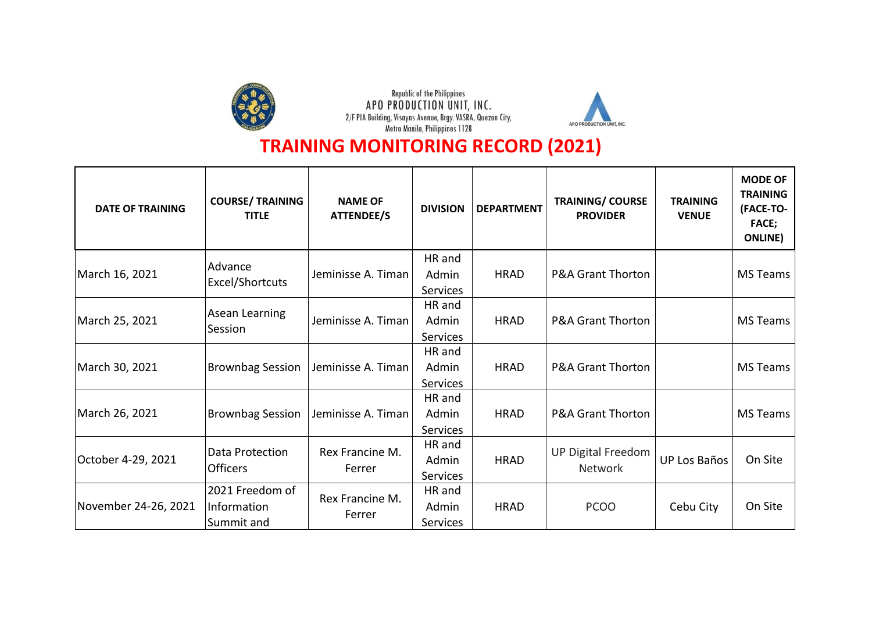



| <b>DATE OF TRAINING</b> | <b>COURSE/ TRAINING</b><br><b>TITLE</b> | <b>NAME OF</b><br><b>ATTENDEE/S</b> | <b>DIVISION</b> | <b>DEPARTMENT</b> | <b>TRAINING/ COURSE</b><br><b>PROVIDER</b>  | <b>TRAINING</b><br><b>VENUE</b> | <b>MODE OF</b><br><b>TRAINING</b><br>(FACE-TO-<br><b>FACE;</b><br><b>ONLINE</b> ) |
|-------------------------|-----------------------------------------|-------------------------------------|-----------------|-------------------|---------------------------------------------|---------------------------------|-----------------------------------------------------------------------------------|
|                         | Advance                                 |                                     | HR and          |                   |                                             |                                 |                                                                                   |
| March 16, 2021          | Excel/Shortcuts                         | Jeminisse A. Timan                  | Admin           | <b>HRAD</b>       | <b>P&amp;A Grant Thorton</b>                |                                 | <b>MS Teams</b>                                                                   |
|                         |                                         |                                     | <b>Services</b> |                   |                                             |                                 |                                                                                   |
| March 25, 2021          | Asean Learning                          | Jeminisse A. Timan                  | HR and<br>Admin | <b>HRAD</b>       | <b>P&amp;A Grant Thorton</b>                |                                 | <b>MS Teams</b>                                                                   |
|                         | Session                                 |                                     | <b>Services</b> |                   |                                             |                                 |                                                                                   |
|                         |                                         |                                     | HR and          |                   |                                             |                                 |                                                                                   |
| March 30, 2021          | <b>Brownbag Session</b>                 | Jeminisse A. Timan                  | Admin           | <b>HRAD</b>       | <b>P&amp;A Grant Thorton</b>                |                                 | <b>MS Teams</b>                                                                   |
|                         |                                         |                                     | Services        |                   |                                             |                                 |                                                                                   |
|                         |                                         |                                     | HR and          |                   |                                             |                                 |                                                                                   |
| March 26, 2021          | <b>Brownbag Session</b>                 | Jeminisse A. Timan                  | Admin           | <b>HRAD</b>       | <b>P&amp;A Grant Thorton</b>                |                                 | <b>MS Teams</b>                                                                   |
|                         |                                         |                                     | <b>Services</b> |                   |                                             |                                 |                                                                                   |
|                         | Data Protection                         | Rex Francine M.                     | HR and          |                   | <b>UP Digital Freedom</b><br><b>Network</b> |                                 | On Site                                                                           |
| October 4-29, 2021      | <b>Officers</b>                         | Ferrer                              | Admin           | <b>HRAD</b>       |                                             | <b>UP Los Baños</b>             |                                                                                   |
|                         |                                         |                                     | Services        |                   |                                             |                                 |                                                                                   |
| November 24-26, 2021    | 2021 Freedom of                         | Rex Francine M.<br>Ferrer           | HR and          | <b>HRAD</b>       | <b>PCOO</b>                                 |                                 |                                                                                   |
|                         | Information                             |                                     | Admin           |                   |                                             | Cebu City                       | On Site                                                                           |
|                         | Summit and                              |                                     | <b>Services</b> |                   |                                             |                                 |                                                                                   |